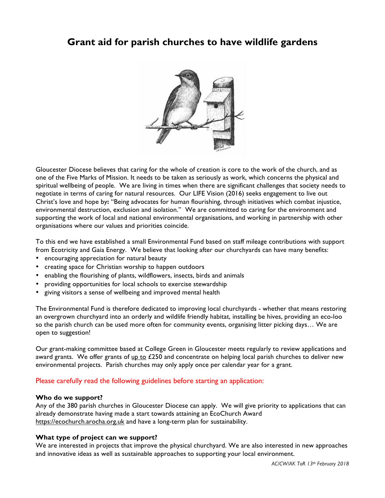# **Grant aid for parish churches to have wildlife gardens**



Gloucester Diocese believes that caring for the whole of creation is core to the work of the church, and as one of the Five Marks of Mission. It needs to be taken as seriously as work, which concerns the physical and spiritual wellbeing of people. We are living in times when there are significant challenges that society needs to negotiate in terms of caring for natural resources. Our LIFE Vision (2016) seeks engagement to live out Christ's love and hope by**:** "Being advocates for human flourishing, through initiatives which combat injustice, environmental destruction, exclusion and isolation." We are committed to caring for the environment and supporting the work of local and national environmental organisations, and working in partnership with other organisations where our values and priorities coincide.

To this end we have established a small Environmental Fund based on staff mileage contributions with support from Ecotricity and Gaia Energy. We believe that looking after our churchyards can have many benefits:

- encouraging appreciation for natural beauty
- creating space for Christian worship to happen outdoors
- enabling the flourishing of plants, wildflowers, insects, birds and animals
- providing opportunities for local schools to exercise stewardship
- giving visitors a sense of wellbeing and improved mental health

The Environmental Fund is therefore dedicated to improving local churchyards - whether that means restoring an overgrown churchyard into an orderly and wildlife friendly habitat, installing be hives, providing an eco-loo so the parish church can be used more often for community events, organising litter picking days… We are open to suggestion!

Our grant-making committee based at College Green in Gloucester meets regularly to review applications and award grants. We offer grants of up to  $£250$  and concentrate on helping local parish churches to deliver new environmental projects. Parish churches may only apply once per calendar year for a grant.

## Please carefully read the following guidelines before starting an application:

#### **Who do we support?**

Any of the 380 parish churches in Gloucester Diocese can apply. We will give priority to applications that can already demonstrate having made a start towards attaining an EcoChurch Award https://ecochurch.arocha.org.uk and have a long-term plan for sustainability.

#### **What type of project can we support?**

We are interested in projects that improve the physical churchyard. We are also interested in new approaches and innovative ideas as well as sustainable approaches to supporting your local environment.